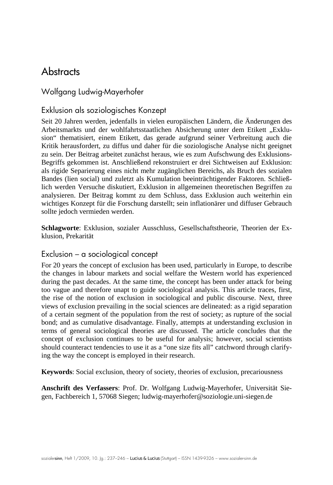# **Abstracts**

### Wolfgang Ludwig-Mayerhofer

#### Exklusion als soziologisches Konzept

Seit 20 Jahren werden, jedenfalls in vielen europäischen Ländern, die Änderungen des Arbeitsmarkts und der wohlfahrtsstaatlichen Absicherung unter dem Etikett "Exklusion" thematisiert, einem Etikett, das gerade aufgrund seiner Verbreitung auch die Kritik herausfordert, zu diffus und daher für die soziologische Analyse nicht geeignet zu sein. Der Beitrag arbeitet zunächst heraus, wie es zum Aufschwung des Exklusions-Begriffs gekommen ist. Anschließend rekonstruiert er drei Sichtweisen auf Exklusion: als rigide Separierung eines nicht mehr zugänglichen Bereichs, als Bruch des sozialen Bandes (lien social) und zuletzt als Kumulation beeinträchtigender Faktoren. Schließlich werden Versuche diskutiert, Exklusion in allgemeinen theoretischen Begriffen zu analysieren. Der Beitrag kommt zu dem Schluss, dass Exklusion auch weiterhin ein wichtiges Konzept für die Forschung darstellt; sein inflationärer und diffuser Gebrauch sollte jedoch vermieden werden.

**Schlagworte**: Exklusion, sozialer Ausschluss, Gesellschaftstheorie, Theorien der Exklusion, Prekarität

#### Exclusion – a sociological concept

For 20 years the concept of exclusion has been used, particularly in Europe, to describe the changes in labour markets and social welfare the Western world has experienced during the past decades. At the same time, the concept has been under attack for being too vague and therefore unapt to guide sociological analysis. This article traces, first, the rise of the notion of exclusion in sociological and public discourse. Next, three views of exclusion prevailing in the social sciences are delineated: as a rigid separation of a certain segment of the population from the rest of society; as rupture of the social bond; and as cumulative disadvantage. Finally, attempts at understanding exclusion in terms of general sociological theories are discussed. The article concludes that the concept of exclusion continues to be useful for analysis; however, social scientists should counteract tendencies to use it as a "one size fits all" catchword through clarifying the way the concept is employed in their research.

**Keywords**: Social exclusion, theory of society, theories of exclusion, precariousness

**Anschrift des Verfassers**: Prof. Dr. Wolfgang Ludwig-Mayerhofer, Universität Siegen, Fachbereich 1, 57068 Siegen; ludwig-mayerhofer@soziologie.uni-siegen.de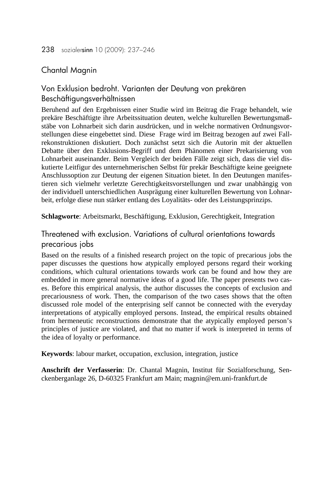## Chantal Magnin

# Von Exklusion bedroht. Varianten der Deutung von prekären Beschäftigungsverhältnissen

Beruhend auf den Ergebnissen einer Studie wird im Beitrag die Frage behandelt, wie prekäre Beschäftigte ihre Arbeitssituation deuten, welche kulturellen Bewertungsmaßstäbe von Lohnarbeit sich darin ausdrücken, und in welche normativen Ordnungsvorstellungen diese eingebettet sind. Diese Frage wird im Beitrag bezogen auf zwei Fallrekonstruktionen diskutiert. Doch zunächst setzt sich die Autorin mit der aktuellen Debatte über den Exklusions-Begriff und dem Phänomen einer Prekarisierung von Lohnarbeit auseinander. Beim Vergleich der beiden Fälle zeigt sich, dass die viel diskutierte Leitfigur des unternehmerischen Selbst für prekär Beschäftigte keine geeignete Anschlussoption zur Deutung der eigenen Situation bietet. In den Deutungen manifestieren sich vielmehr verletzte Gerechtigkeitsvorstellungen und zwar unabhängig von der individuell unterschiedlichen Ausprägung einer kulturellen Bewertung von Lohnarbeit, erfolge diese nun stärker entlang des Loyalitäts- oder des Leistungsprinzips.

**Schlagworte**: Arbeitsmarkt, Beschäftigung, Exklusion, Gerechtigkeit, Integration

## Threatened with exclusion. Variations of cultural orientations towards precarious jobs

Based on the results of a finished research project on the topic of precarious jobs the paper discusses the questions how atypically employed persons regard their working conditions, which cultural orientations towards work can be found and how they are embedded in more general normative ideas of a good life. The paper presents two cases. Before this empirical analysis, the author discusses the concepts of exclusion and precariousness of work. Then, the comparison of the two cases shows that the often discussed role model of the enterprising self cannot be connected with the everyday interpretations of atypically employed persons. Instead, the empirical results obtained from hermeneutic reconstructions demonstrate that the atypically employed person's principles of justice are violated, and that no matter if work is interpreted in terms of the idea of loyalty or performance.

**Keywords**: labour market, occupation, exclusion, integration, justice

**Anschrift der Verfasserin**: Dr. Chantal Magnin, Institut für Sozialforschung, Senckenberganlage 26, D-60325 Frankfurt am Main; magnin@em.uni-frankfurt.de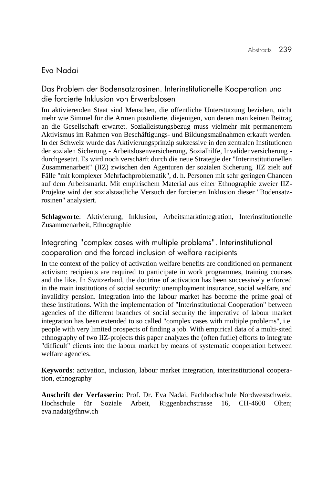### Eva Nadai

Das Problem der Bodensatzrosinen. Interinstitutionelle Kooperation und die forcierte Inklusion von Erwerbslosen

Im aktivierenden Staat sind Menschen, die öffentliche Unterstützung beziehen, nicht mehr wie Simmel für die Armen postulierte, diejenigen, von denen man keinen Beitrag an die Gesellschaft erwartet. Sozialleistungsbezug muss vielmehr mit permanentem Aktivismus im Rahmen von Beschäftigungs- und Bildungsmaßnahmen erkauft werden. In der Schweiz wurde das Aktivierungsprinzip sukzessive in den zentralen Institutionen der sozialen Sicherung - Arbeitslosenversicherung, Sozialhilfe, Invalidenversicherung durchgesetzt. Es wird noch verschärft durch die neue Strategie der "Interinstitutionellen Zusammenarbeit" (IIZ) zwischen den Agenturen der sozialen Sicherung. IIZ zielt auf Fälle "mit komplexer Mehrfachproblematik", d. h. Personen mit sehr geringen Chancen auf dem Arbeitsmarkt. Mit empirischem Material aus einer Ethnographie zweier IIZ-Projekte wird der sozialstaatliche Versuch der forcierten Inklusion dieser "Bodensatzrosinen" analysiert.

**Schlagworte**: Aktivierung, Inklusion, Arbeitsmarktintegration, Interinstitutionelle Zusammenarbeit, Ethnographie

### Integrating "complex cases with multiple problems". Interinstitutional cooperation and the forced inclusion of welfare recipients

In the context of the policy of activation welfare benefits are conditioned on permanent activism: recipients are required to participate in work programmes, training courses and the like. In Switzerland, the doctrine of activation has been successively enforced in the main institutions of social security: unemployment insurance, social welfare, and invalidity pension. Integration into the labour market has become the prime goal of these institutions. With the implementation of "Interinstitutional Cooperation" between agencies of the different branches of social security the imperative of labour market integration has been extended to so called "complex cases with multiple problems", i.e. people with very limited prospects of finding a job. With empirical data of a multi-sited ethnography of two IIZ-projects this paper analyzes the (often futile) efforts to integrate "difficult" clients into the labour market by means of systematic cooperation between welfare agencies.

**Keywords**: activation, inclusion, labour market integration, interinstitutional cooperation, ethnography

**Anschrift der Verfasserin**: Prof. Dr. Eva Nadai, Fachhochschule Nordwestschweiz, Hochschule für Soziale Arbeit, Riggenbachstrasse 16, CH-4600 Olten; eva.nadai@fhnw.ch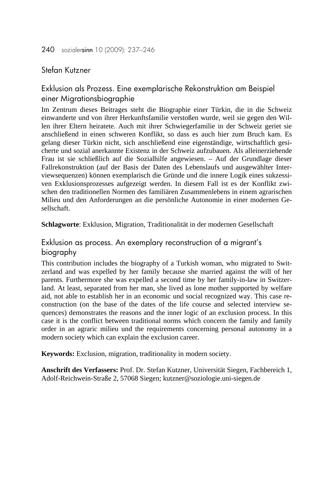#### Stefan Kutzner

## Exklusion als Prozess. Eine exemplarische Rekonstruktion am Beispiel einer Migrationsbiographie

Im Zentrum dieses Beitrages steht die Biographie einer Türkin, die in die Schweiz einwanderte und von ihrer Herkunftsfamilie verstoßen wurde, weil sie gegen den Willen ihrer Eltern heiratete. Auch mit ihrer Schwiegerfamilie in der Schweiz geriet sie anschließend in einen schweren Konflikt, so dass es auch hier zum Bruch kam. Es gelang dieser Türkin nicht, sich anschließend eine eigenständige, wirtschaftlich gesicherte und sozial anerkannte Existenz in der Schweiz aufzubauen. Als alleinerziehende Frau ist sie schließlich auf die Sozialhilfe angewiesen. – Auf der Grundlage dieser Fallrekonstruktion (auf der Basis der Daten des Lebenslaufs und ausgewählter Interviewsequenzen) können exemplarisch die Gründe und die innere Logik eines sukzessiven Exklusionsprozesses aufgezeigt werden. In diesem Fall ist es der Konflikt zwischen den traditionellen Normen des familiären Zusammenlebens in einem agrarischen Milieu und den Anforderungen an die persönliche Autonomie in einer modernen Gesellschaft.

**Schlagworte**: Exklusion, Migration, Traditionalität in der modernen Gesellschaft

### Exklusion as process. An exemplary reconstruction of a migrant's biography

This contribution includes the biography of a Turkish woman, who migrated to Switzerland and was expelled by her family because she married against the will of her parents. Furthermore she was expelled a second time by her family-in-law in Switzerland. At least, separated from her man, she lived as lone mother supported by welfare aid, not able to establish her in an economic und social recognized way. This case reconstruction (on the base of the dates of the life course and selected interview sequences) demonstrates the reasons and the inner logic of an exclusion process. In this case it is the conflict between traditional norms which concern the family and family order in an agraric milieu und the requirements concerning personal autonomy in a modern society which can explain the exclusion career.

**Keywords:** Exclusion, migration, traditionality in modern society.

**Anschrift des Verfassers:** Prof. Dr. Stefan Kutzner, Universität Siegen, Fachbereich 1, Adolf-Reichwein-Straße 2, 57068 Siegen; kutzner@soziologie.uni-siegen.de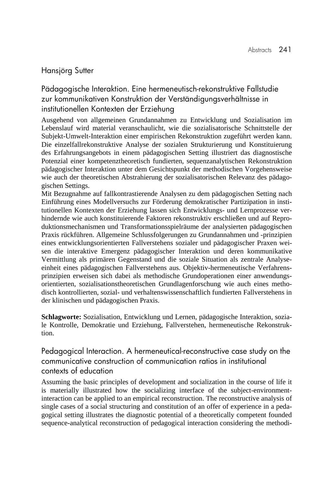#### Hansjörg Sutter

Pädagogische Interaktion. Eine hermeneutisch-rekonstruktive Fallstudie zur kommunikativen Konstruktion der Verständigungsverhältnisse in institutionellen Kontexten der Erziehung

Ausgehend von allgemeinen Grundannahmen zu Entwicklung und Sozialisation im Lebenslauf wird material veranschaulicht, wie die sozialisatorische Schnittstelle der Subjekt-Umwelt-Interaktion einer empirischen Rekonstruktion zugeführt werden kann. Die einzelfallrekonstruktive Analyse der sozialen Strukturierung und Konstituierung des Erfahrungsangebots in einem pädagogischen Setting illustriert das diagnostische Potenzial einer kompetenztheoretisch fundierten, sequenzanalytischen Rekonstruktion pädagogischer Interaktion unter dem Gesichtspunkt der methodischen Vorgehensweise wie auch der theoretischen Abstrahierung der sozialisatorischen Relevanz des pädagogischen Settings.

Mit Bezugnahme auf fallkontrastierende Analysen zu dem pädagogischen Setting nach Einführung eines Modellversuchs zur Förderung demokratischer Partizipation in institutionellen Kontexten der Erziehung lassen sich Entwicklungs- und Lernprozesse verhindernde wie auch konstituierende Faktoren rekonstruktiv erschließen und auf Reproduktionsmechanismen und Transformationsspielräume der analysierten pädagogischen Praxis rückführen. Allgemeine Schlussfolgerungen zu Grundannahmen und -prinzipien eines entwicklungsorientierten Fallverstehens sozialer und pädagogischer Praxen weisen die interaktive Emergenz pädagogischer Interaktion und deren kommunikative Vermittlung als primären Gegenstand und die soziale Situation als zentrale Analyseeinheit eines pädagogischen Fallverstehens aus. Objektiv-hermeneutische Verfahrensprinzipien erweisen sich dabei als methodische Grundoperationen einer anwendungsorientierten, sozialisationstheoretischen Grundlagenforschung wie auch eines methodisch kontrollierten, sozial- und verhaltenswissenschaftlich fundierten Fallverstehens in der klinischen und pädagogischen Praxis.

**Schlagworte:** Sozialisation, Entwicklung und Lernen, pädagogische Interaktion, soziale Kontrolle, Demokratie und Erziehung, Fallverstehen, hermeneutische Rekonstruktion.

Pedagogical Interaction. A hermeneutical-reconstructive case study on the communicative construction of communication ratios in institutional contexts of education

Assuming the basic principles of development and socialization in the course of life it is materially illustrated how the socializing interface of the subject-environmentinteraction can be applied to an empirical reconstruction. The reconstructive analysis of single cases of a social structuring and constitution of an offer of experience in a pedagogical setting illustrates the diagnostic potential of a theoretically competent founded sequence-analytical reconstruction of pedagogical interaction considering the methodi-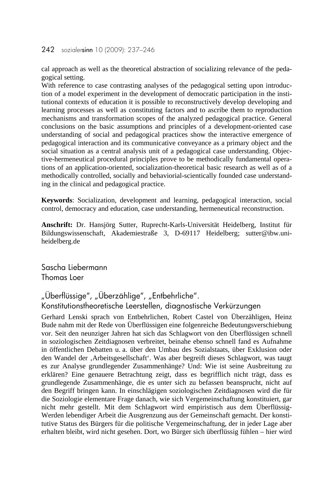#### 242 sozialersinn 10 (2009): 237–246

cal approach as well as the theoretical abstraction of socializing relevance of the pedagogical setting.

With reference to case contrasting analyses of the pedagogical setting upon introduction of a model experiment in the development of democratic participation in the institutional contexts of education it is possible to reconstructively develop developing and learning processes as well as constituting factors and to ascribe them to reproduction mechanisms and transformation scopes of the analyzed pedagogical practice. General conclusions on the basic assumptions and principles of a development-oriented case understanding of social and pedagogical practices show the interactive emergence of pedagogical interaction and its communicative conveyance as a primary object and the social situation as a central analysis unit of a pedagogical case understanding. Objective-hermeneutical procedural principles prove to be methodically fundamental operations of an application-oriented, socialization-theoretical basic research as well as of a methodically controlled, socially and behaviorial-scientically founded case understanding in the clinical and pedagogical practice.

**Keywords**: Socialization, development and learning, pedagogical interaction, social control, democracy and education, case understanding, hermeneutical reconstruction.

**Anschrift:** Dr. Hansjörg Sutter, Ruprecht-Karls-Universität Heidelberg, Institut für Bildungswissenschaft, Akademiestraße 3, D-69117 Heidelberg; sutter@ibw.uniheidelberg.de

Sascha Liebermann Thomas Loer

# "Überflüssige", "Überzählige", "Entbehrliche". Konstitutionstheoretische Leerstellen, diagnostische Verkürzungen

Gerhard Lenski sprach von Entbehrlichen, Robert Castel von Überzähligen, Heinz Bude nahm mit der Rede von Überflüssigen eine folgenreiche Bedeutungsverschiebung vor. Seit den neunziger Jahren hat sich das Schlagwort von den Überflüssigen schnell in soziologischen Zeitdiagnosen verbreitet, beinahe ebenso schnell fand es Aufnahme in öffentlichen Debatten u. a. über den Umbau des Sozialstaats, über Exklusion oder den Wandel der 'Arbeitsgesellschaft'. Was aber begreift dieses Schlagwort, was taugt es zur Analyse grundlegender Zusammenhänge? Und: Wie ist seine Ausbreitung zu erklären? Eine genauere Betrachtung zeigt, dass es begrifflich nicht trägt, dass es grundlegende Zusammenhänge, die es unter sich zu befassen beansprucht, nicht auf den Begriff bringen kann. In einschlägigen soziologischen Zeitdiagnosen wird die für die Soziologie elementare Frage danach, wie sich Vergemeinschaftung konstituiert, gar nicht mehr gestellt. Mit dem Schlagwort wird empiristisch aus dem Überflüssig-Werden lebendiger Arbeit die Ausgrenzung aus der Gemeinschaft gemacht. Der konstitutive Status des Bürgers für die politische Vergemeinschaftung, der in jeder Lage aber erhalten bleibt, wird nicht gesehen. Dort, wo Bürger sich überflüssig fühlen – hier wird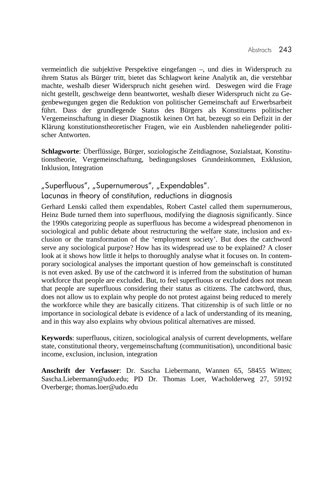vermeintlich die subjektive Perspektive eingefangen –, und dies in Widerspruch zu ihrem Status als Bürger tritt, bietet das Schlagwort keine Analytik an, die verstehbar machte, weshalb dieser Widerspruch nicht gesehen wird. Deswegen wird die Frage nicht gestellt, geschweige denn beantwortet, weshalb dieser Widerspruch nicht zu Gegenbewegungen gegen die Reduktion von politischer Gemeinschaft auf Erwerbsarbeit führt. Dass der grundlegende Status des Bürgers als Konstituens politischer Vergemeinschaftung in dieser Diagnostik keinen Ort hat, bezeugt so ein Defizit in der Klärung konstitutionstheoretischer Fragen, wie ein Ausblenden naheliegender politischer Antworten.

**Schlagworte**: Überflüssige, Bürger, soziologische Zeitdiagnose, Sozialstaat, Konstitutionstheorie, Vergemeinschaftung, bedingungsloses Grundeinkommen, Exklusion, Inklusion, Integration

# "Superfluous", "Supernumerous", "Expendables". Lacunas in theory of constitution, reductions in diagnosis

Gerhard Lenski called them expendables, Robert Castel called them supernumerous, Heinz Bude turned them into superfluous, modifying the diagnosis significantly. Since the 1990s categorizing people as superfluous has become a widespread phenomenon in sociological and public debate about restructuring the welfare state, inclusion and exclusion or the transformation of the 'employment society'. But does the catchword serve any sociological purpose? How has its widespread use to be explained? A closer look at it shows how little it helps to thoroughly analyse what it focuses on. In contemporary sociological analyses the important question of how gemeinschaft is constituted is not even asked. By use of the catchword it is inferred from the substitution of human workforce that people are excluded. But, to feel superfluous or excluded does not mean that people are superfluous considering their status as citizens. The catchword, thus, does not allow us to explain why people do not protest against being reduced to merely the workforce while they are basically citizens. That citizenship is of such little or no importance in sociological debate is evidence of a lack of understanding of its meaning, and in this way also explains why obvious political alternatives are missed.

**Keywords**: superfluous, citizen, sociological analysis of current developments, welfare state, constitutional theory, vergemeinschaftung (communitisation), unconditional basic income, exclusion, inclusion, integration

**Anschrift der Verfasser**: Dr. Sascha Liebermann, Wannen 65, 58455 Witten; Sascha.Liebermann@udo.edu; PD Dr. Thomas Loer, Wacholderweg 27, 59192 Overberge; thomas.loer@udo.edu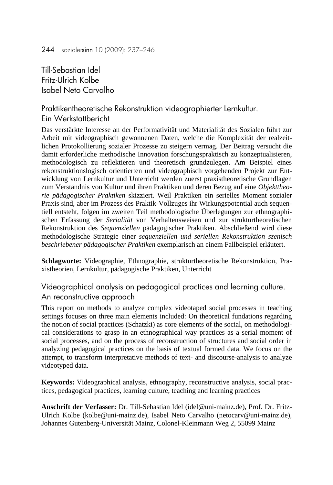Till-Sebastian Idel Fritz-Ulrich Kolbe Isabel Neto Carvalho

Praktikentheoretische Rekonstruktion videographierter Lernkultur. Ein Werkstattbericht

Das verstärkte Interesse an der Performativität und Materialität des Sozialen führt zur Arbeit mit videographisch gewonnenen Daten, welche die Komplexität der realzeitlichen Protokollierung sozialer Prozesse zu steigern vermag. Der Beitrag versucht die damit erforderliche methodische Innovation forschungspraktisch zu konzeptualisieren, methodologisch zu reflektieren und theoretisch grundzulegen. Am Beispiel eines rekonstruktionslogisch orientierten und videographisch vorgehenden Projekt zur Entwicklung von Lernkultur und Unterricht werden zuerst praxistheoretische Grundlagen zum Verständnis von Kultur und ihren Praktiken und deren Bezug auf eine *Objekttheorie pädagogischer Praktiken* skizziert. Weil Praktiken ein serielles Moment sozialer Praxis sind, aber im Prozess des Praktik-Vollzuges ihr Wirkungspotential auch sequentiell entsteht, folgen im zweiten Teil methodologische Überlegungen zur ethnographischen Erfassung der *Serialität* von Verhaltensweisen und zur strukturtheoretischen Rekonstruktion des *Sequenziellen* pädagogischer Praktiken. Abschließend wird diese methodologische Strategie einer *sequenziellen und seriellen Rekonstruktion szenisch beschriebener pädagogischer Praktiken* exemplarisch an einem Fallbeispiel erläutert.

**Schlagworte:** Videographie, Ethnographie, strukturtheoretische Rekonstruktion, Praxistheorien, Lernkultur, pädagogische Praktiken, Unterricht

Videographical analysis on pedagogical practices and learning culture. An reconstructive approach

This report on methods to analyze complex videotaped social processes in teaching settings focuses on three main elements included: On theoretical fundations regarding the notion of social practices (Schatzki) as core elements of the social, on methodological considerations to grasp in an ethnographical way practices as a serial moment of social processes, and on the process of reconstruction of structures and social order in analyzing pedagogical practices on the basis of textual formed data. We focus on the attempt, to transform interpretative methods of text- and discourse-analysis to analyze videotyped data.

**Keywords:** Videographical analysis, ethnography, reconstructive analysis, social practices, pedagogical practices, learning culture, teaching and learning practices

**Anschrift der Verfasser:** Dr. Till-Sebastian Idel (idel@uni-mainz.de), Prof. Dr. Fritz-Ulrich Kolbe (kolbe@uni-mainz.de), Isabel Neto Carvalho (netocarv@uni-mainz.de), Johannes Gutenberg-Universität Mainz, Colonel-Kleinmann Weg 2, 55099 Mainz